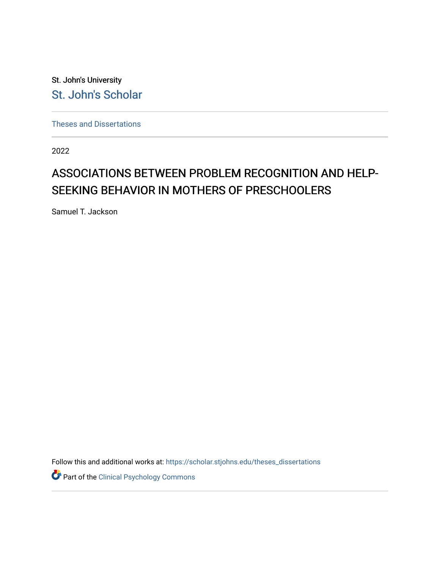St. John's University [St. John's Scholar](https://scholar.stjohns.edu/) 

[Theses and Dissertations](https://scholar.stjohns.edu/theses_dissertations)

2022

# ASSOCIATIONS BETWEEN PROBLEM RECOGNITION AND HELP-SEEKING BEHAVIOR IN MOTHERS OF PRESCHOOLERS

Samuel T. Jackson

Follow this and additional works at: [https://scholar.stjohns.edu/theses\\_dissertations](https://scholar.stjohns.edu/theses_dissertations?utm_source=scholar.stjohns.edu%2Ftheses_dissertations%2F417&utm_medium=PDF&utm_campaign=PDFCoverPages)

Part of the [Clinical Psychology Commons](https://network.bepress.com/hgg/discipline/406?utm_source=scholar.stjohns.edu%2Ftheses_dissertations%2F417&utm_medium=PDF&utm_campaign=PDFCoverPages)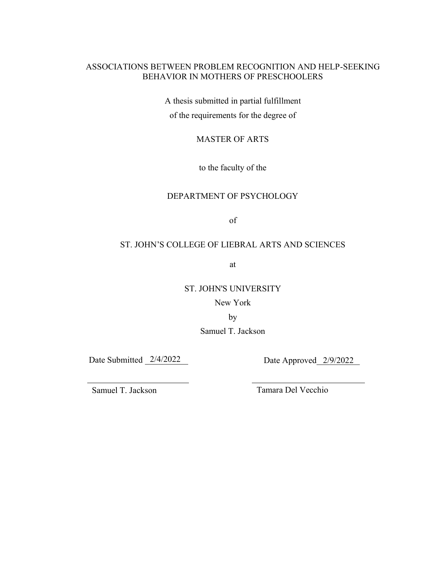## ASSOCIATIONS BETWEEN PROBLEM RECOGNITION AND HELP-SEEKING BEHAVIOR IN MOTHERS OF PRESCHOOLERS

A thesis submitted in partial fulfillment of the requirements for the degree of

## MASTER OF ARTS

to the faculty of the

#### DEPARTMENT OF PSYCHOLOGY

of

#### ST. JOHN'S COLLEGE OF LIEBRAL ARTS AND SCIENCES

at

#### ST. JOHN'S UNIVERSITY

## New York

by

## Samuel T. Jackson

Date Submitted 2/4/2022 Date Approved 2/9/2022

Samuel T. Jackson Tamara Del Vecchio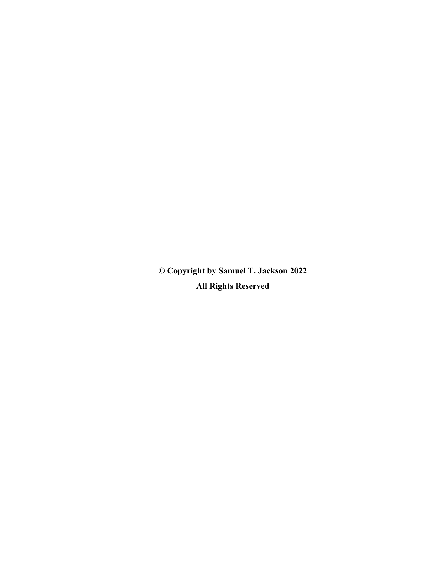**© Copyright by Samuel T. Jackson 2022 All Rights Reserved**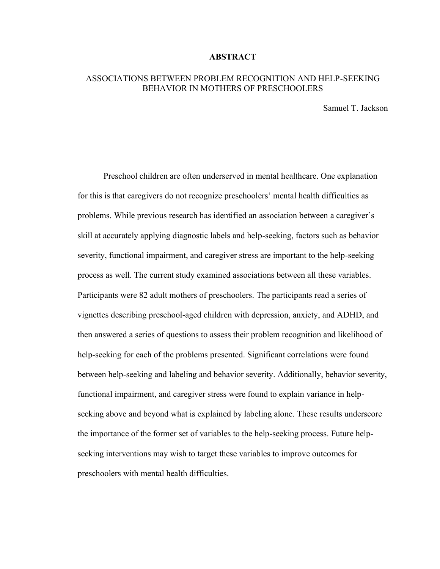#### **ABSTRACT**

#### ASSOCIATIONS BETWEEN PROBLEM RECOGNITION AND HELP-SEEKING BEHAVIOR IN MOTHERS OF PRESCHOOLERS

Samuel T. Jackson

Preschool children are often underserved in mental healthcare. One explanation for this is that caregivers do not recognize preschoolers' mental health difficulties as problems. While previous research has identified an association between a caregiver's skill at accurately applying diagnostic labels and help-seeking, factors such as behavior severity, functional impairment, and caregiver stress are important to the help-seeking process as well. The current study examined associations between all these variables. Participants were 82 adult mothers of preschoolers. The participants read a series of vignettes describing preschool-aged children with depression, anxiety, and ADHD, and then answered a series of questions to assess their problem recognition and likelihood of help-seeking for each of the problems presented. Significant correlations were found between help-seeking and labeling and behavior severity. Additionally, behavior severity, functional impairment, and caregiver stress were found to explain variance in helpseeking above and beyond what is explained by labeling alone. These results underscore the importance of the former set of variables to the help-seeking process. Future helpseeking interventions may wish to target these variables to improve outcomes for preschoolers with mental health difficulties.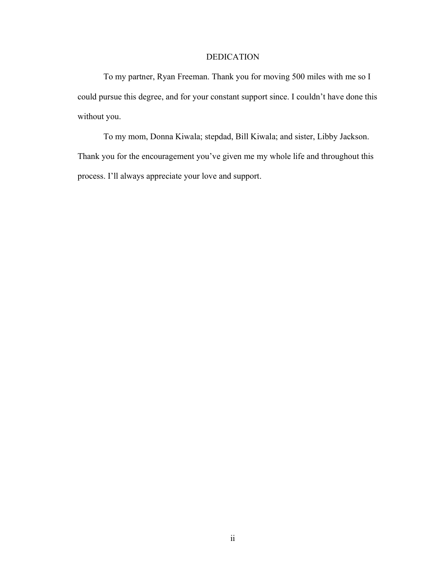## DEDICATION

To my partner, Ryan Freeman. Thank you for moving 500 miles with me so I could pursue this degree, and for your constant support since. I couldn't have done this without you.

To my mom, Donna Kiwala; stepdad, Bill Kiwala; and sister, Libby Jackson. Thank you for the encouragement you've given me my whole life and throughout this process. I'll always appreciate your love and support.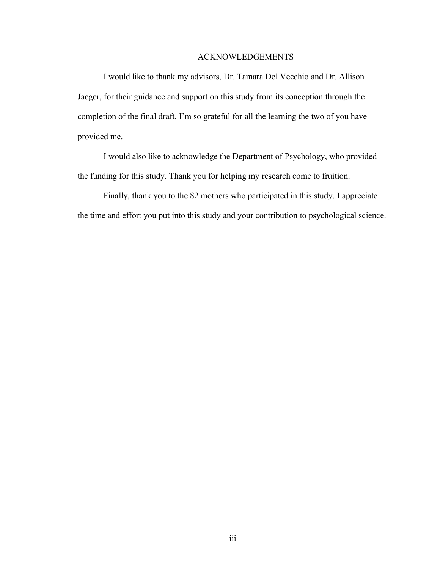#### ACKNOWLEDGEMENTS

I would like to thank my advisors, Dr. Tamara Del Vecchio and Dr. Allison Jaeger, for their guidance and support on this study from its conception through the completion of the final draft. I'm so grateful for all the learning the two of you have provided me.

I would also like to acknowledge the Department of Psychology, who provided the funding for this study. Thank you for helping my research come to fruition.

Finally, thank you to the 82 mothers who participated in this study. I appreciate the time and effort you put into this study and your contribution to psychological science.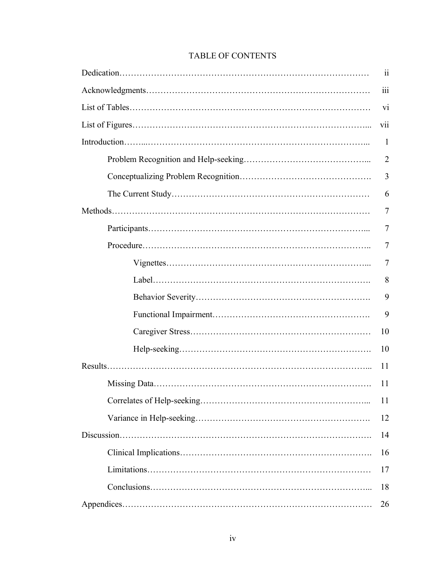| $\ddot{\mathbf{i}}$ |
|---------------------|
| iii                 |
| vi                  |
| vii                 |
| $\mathbf{1}$        |
| $\overline{2}$      |
| 3                   |
| 6                   |
| 7                   |
| 7                   |
| 7                   |
| 7                   |
| 8                   |
| 9                   |
| 9                   |
| 10                  |
| 10                  |
| 11                  |
| 11                  |
| 11                  |
| 12                  |
| 14                  |
| 16                  |
| 17                  |
| 18                  |
| 26                  |

## TABLE OF CONTENTS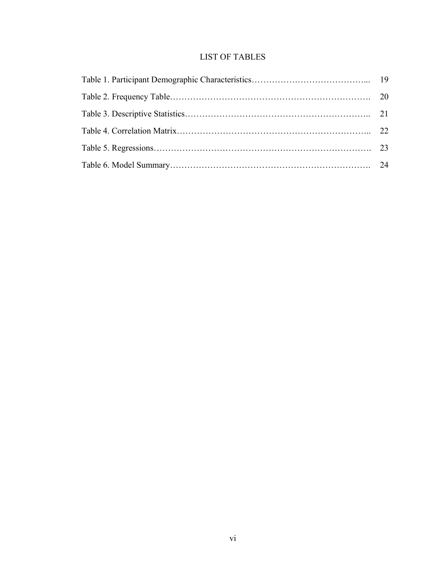## LIST OF TABLES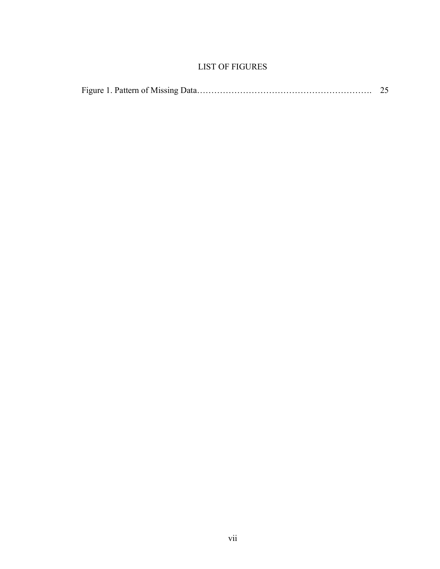## LIST OF FIGURES

|--|--|--|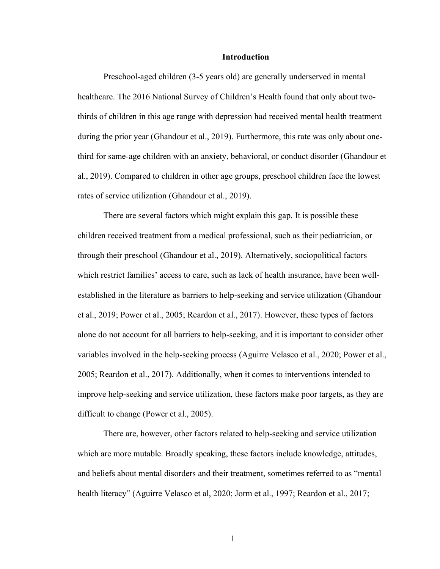#### **Introduction**

Preschool-aged children (3-5 years old) are generally underserved in mental healthcare. The 2016 National Survey of Children's Health found that only about twothirds of children in this age range with depression had received mental health treatment during the prior year (Ghandour et al., 2019). Furthermore, this rate was only about onethird for same-age children with an anxiety, behavioral, or conduct disorder (Ghandour et al., 2019). Compared to children in other age groups, preschool children face the lowest rates of service utilization (Ghandour et al., 2019).

There are several factors which might explain this gap. It is possible these children received treatment from a medical professional, such as their pediatrician, or through their preschool (Ghandour et al., 2019). Alternatively, sociopolitical factors which restrict families' access to care, such as lack of health insurance, have been wellestablished in the literature as barriers to help-seeking and service utilization (Ghandour et al., 2019; Power et al., 2005; Reardon et al., 2017). However, these types of factors alone do not account for all barriers to help-seeking, and it is important to consider other variables involved in the help-seeking process (Aguirre Velasco et al., 2020; Power et al., 2005; Reardon et al., 2017). Additionally, when it comes to interventions intended to improve help-seeking and service utilization, these factors make poor targets, as they are difficult to change (Power et al., 2005).

There are, however, other factors related to help-seeking and service utilization which are more mutable. Broadly speaking, these factors include knowledge, attitudes, and beliefs about mental disorders and their treatment, sometimes referred to as "mental health literacy" (Aguirre Velasco et al, 2020; Jorm et al., 1997; Reardon et al., 2017;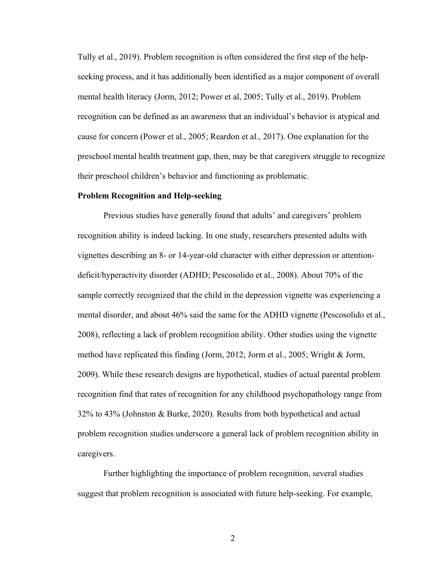Tully et al., 2019). Problem recognition is often considered the first step of the helpseeking process, and it has additionally been identified as a major component of overall mental health literacy (Jorm, 2012; Power et al, 2005; Tully et al., 2019). Problem recognition can be defined as an awareness that an individual's behavior is atypical and cause for concern (Power et al., 2005; Reardon et al., 2017). One explanation for the preschool mental health treatment gap, then, may be that caregivers struggle to recognize their preschool children's behavior and functioning as problematic.

#### **Problem Recognition and Help-seeking**

Previous studies have generally found that adults' and caregivers' problem recognition ability is indeed lacking. In one study, researchers presented adults with vignettes describing an 8- or 14-year-old character with either depression or attentiondeficit/hyperactivity disorder (ADHD; Pescosolido et al., 2008). About 70% of the sample correctly recognized that the child in the depression vignette was experiencing a mental disorder, and about 46% said the same for the ADHD vignette (Pescosolido et al., 2008), reflecting a lack of problem recognition ability. Other studies using the vignette method have replicated this finding (Jorm, 2012; Jorm et al., 2005; Wright & Jorm, 2009). While these research designs are hypothetical, studies of actual parental problem recognition find that rates of recognition for any childhood psychopathology range from 32% to 43% (Johnston & Burke, 2020). Results from both hypothetical and actual problem recognition studies underscore a general lack of problem recognition ability in caregivers.

Further highlighting the importance of problem recognition, several studies suggest that problem recognition is associated with future help-seeking. For example,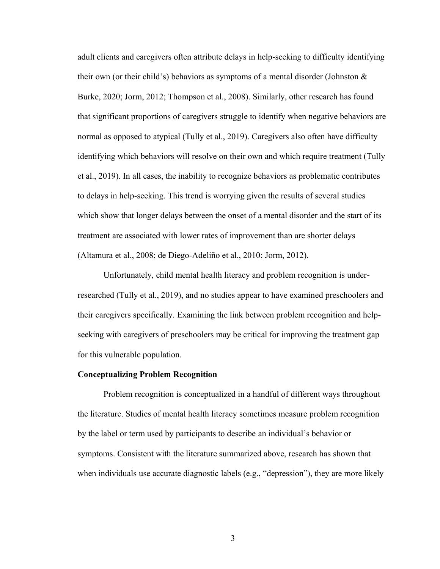adult clients and caregivers often attribute delays in help-seeking to difficulty identifying their own (or their child's) behaviors as symptoms of a mental disorder (Johnston  $\&$ Burke, 2020; Jorm, 2012; Thompson et al., 2008). Similarly, other research has found that significant proportions of caregivers struggle to identify when negative behaviors are normal as opposed to atypical (Tully et al., 2019). Caregivers also often have difficulty identifying which behaviors will resolve on their own and which require treatment (Tully et al., 2019). In all cases, the inability to recognize behaviors as problematic contributes to delays in help-seeking. This trend is worrying given the results of several studies which show that longer delays between the onset of a mental disorder and the start of its treatment are associated with lower rates of improvement than are shorter delays (Altamura et al., 2008; de Diego-Adeliño et al., 2010; Jorm, 2012).

Unfortunately, child mental health literacy and problem recognition is underresearched (Tully et al., 2019), and no studies appear to have examined preschoolers and their caregivers specifically. Examining the link between problem recognition and helpseeking with caregivers of preschoolers may be critical for improving the treatment gap for this vulnerable population.

#### **Conceptualizing Problem Recognition**

Problem recognition is conceptualized in a handful of different ways throughout the literature. Studies of mental health literacy sometimes measure problem recognition by the label or term used by participants to describe an individual's behavior or symptoms. Consistent with the literature summarized above, research has shown that when individuals use accurate diagnostic labels (e.g., "depression"), they are more likely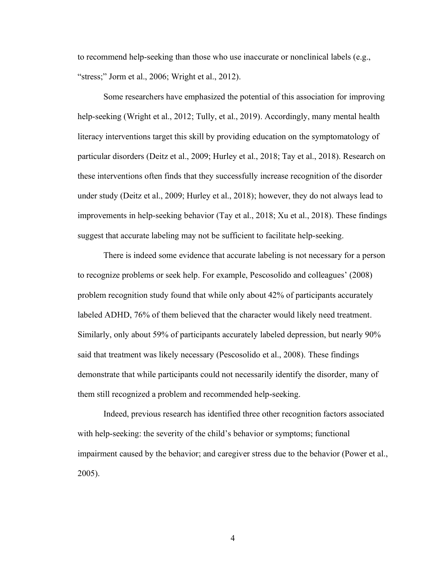to recommend help-seeking than those who use inaccurate or nonclinical labels (e.g., "stress;" Jorm et al., 2006; Wright et al., 2012).

Some researchers have emphasized the potential of this association for improving help-seeking (Wright et al., 2012; Tully, et al., 2019). Accordingly, many mental health literacy interventions target this skill by providing education on the symptomatology of particular disorders (Deitz et al., 2009; Hurley et al., 2018; Tay et al., 2018). Research on these interventions often finds that they successfully increase recognition of the disorder under study (Deitz et al., 2009; Hurley et al., 2018); however, they do not always lead to improvements in help-seeking behavior (Tay et al., 2018; Xu et al., 2018). These findings suggest that accurate labeling may not be sufficient to facilitate help-seeking.

There is indeed some evidence that accurate labeling is not necessary for a person to recognize problems or seek help. For example, Pescosolido and colleagues' (2008) problem recognition study found that while only about 42% of participants accurately labeled ADHD, 76% of them believed that the character would likely need treatment. Similarly, only about 59% of participants accurately labeled depression, but nearly 90% said that treatment was likely necessary (Pescosolido et al., 2008). These findings demonstrate that while participants could not necessarily identify the disorder, many of them still recognized a problem and recommended help-seeking.

Indeed, previous research has identified three other recognition factors associated with help-seeking: the severity of the child's behavior or symptoms; functional impairment caused by the behavior; and caregiver stress due to the behavior (Power et al., 2005).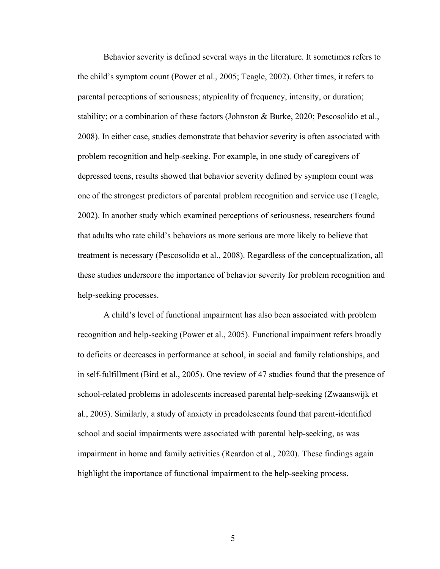Behavior severity is defined several ways in the literature. It sometimes refers to the child's symptom count (Power et al., 2005; Teagle, 2002). Other times, it refers to parental perceptions of seriousness; atypicality of frequency, intensity, or duration; stability; or a combination of these factors (Johnston & Burke, 2020; Pescosolido et al., 2008). In either case, studies demonstrate that behavior severity is often associated with problem recognition and help-seeking. For example, in one study of caregivers of depressed teens, results showed that behavior severity defined by symptom count was one of the strongest predictors of parental problem recognition and service use (Teagle, 2002). In another study which examined perceptions of seriousness, researchers found that adults who rate child's behaviors as more serious are more likely to believe that treatment is necessary (Pescosolido et al., 2008). Regardless of the conceptualization, all these studies underscore the importance of behavior severity for problem recognition and help-seeking processes.

A child's level of functional impairment has also been associated with problem recognition and help-seeking (Power et al., 2005). Functional impairment refers broadly to deficits or decreases in performance at school, in social and family relationships, and in self-fulfillment (Bird et al., 2005). One review of 47 studies found that the presence of school-related problems in adolescents increased parental help-seeking (Zwaanswijk et al., 2003). Similarly, a study of anxiety in preadolescents found that parent-identified school and social impairments were associated with parental help-seeking, as was impairment in home and family activities (Reardon et al., 2020). These findings again highlight the importance of functional impairment to the help-seeking process.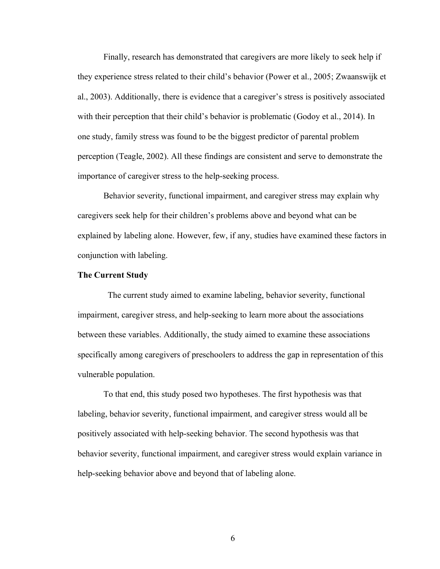Finally, research has demonstrated that caregivers are more likely to seek help if they experience stress related to their child's behavior (Power et al., 2005; Zwaanswijk et al., 2003). Additionally, there is evidence that a caregiver's stress is positively associated with their perception that their child's behavior is problematic (Godoy et al., 2014). In one study, family stress was found to be the biggest predictor of parental problem perception (Teagle, 2002). All these findings are consistent and serve to demonstrate the importance of caregiver stress to the help-seeking process.

Behavior severity, functional impairment, and caregiver stress may explain why caregivers seek help for their children's problems above and beyond what can be explained by labeling alone. However, few, if any, studies have examined these factors in conjunction with labeling.

#### **The Current Study**

The current study aimed to examine labeling, behavior severity, functional impairment, caregiver stress, and help-seeking to learn more about the associations between these variables. Additionally, the study aimed to examine these associations specifically among caregivers of preschoolers to address the gap in representation of this vulnerable population.

To that end, this study posed two hypotheses. The first hypothesis was that labeling, behavior severity, functional impairment, and caregiver stress would all be positively associated with help-seeking behavior. The second hypothesis was that behavior severity, functional impairment, and caregiver stress would explain variance in help-seeking behavior above and beyond that of labeling alone.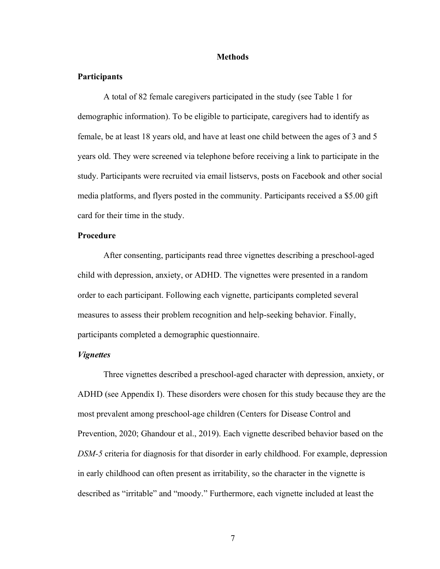#### **Methods**

#### **Participants**

A total of 82 female caregivers participated in the study (see Table 1 for demographic information). To be eligible to participate, caregivers had to identify as female, be at least 18 years old, and have at least one child between the ages of 3 and 5 years old. They were screened via telephone before receiving a link to participate in the study. Participants were recruited via email listservs, posts on Facebook and other social media platforms, and flyers posted in the community. Participants received a \$5.00 gift card for their time in the study.

#### **Procedure**

After consenting, participants read three vignettes describing a preschool-aged child with depression, anxiety, or ADHD. The vignettes were presented in a random order to each participant. Following each vignette, participants completed several measures to assess their problem recognition and help-seeking behavior. Finally, participants completed a demographic questionnaire.

#### *Vignettes*

Three vignettes described a preschool-aged character with depression, anxiety, or ADHD (see Appendix I). These disorders were chosen for this study because they are the most prevalent among preschool-age children (Centers for Disease Control and Prevention, 2020; Ghandour et al., 2019). Each vignette described behavior based on the *DSM-5* criteria for diagnosis for that disorder in early childhood. For example, depression in early childhood can often present as irritability, so the character in the vignette is described as "irritable" and "moody." Furthermore, each vignette included at least the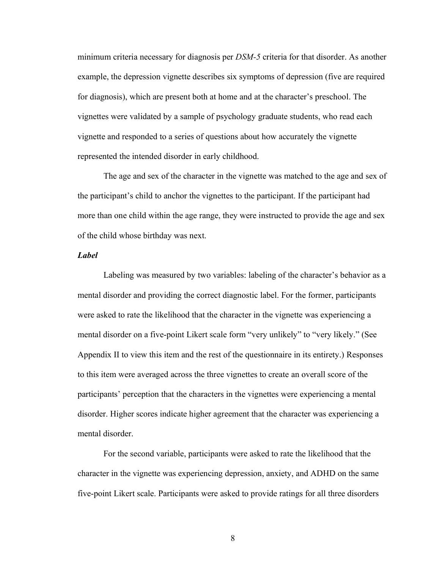minimum criteria necessary for diagnosis per *DSM-5* criteria for that disorder. As another example, the depression vignette describes six symptoms of depression (five are required for diagnosis), which are present both at home and at the character's preschool. The vignettes were validated by a sample of psychology graduate students, who read each vignette and responded to a series of questions about how accurately the vignette represented the intended disorder in early childhood.

The age and sex of the character in the vignette was matched to the age and sex of the participant's child to anchor the vignettes to the participant. If the participant had more than one child within the age range, they were instructed to provide the age and sex of the child whose birthday was next.

#### *Label*

Labeling was measured by two variables: labeling of the character's behavior as a mental disorder and providing the correct diagnostic label. For the former, participants were asked to rate the likelihood that the character in the vignette was experiencing a mental disorder on a five-point Likert scale form "very unlikely" to "very likely." (See Appendix II to view this item and the rest of the questionnaire in its entirety.) Responses to this item were averaged across the three vignettes to create an overall score of the participants' perception that the characters in the vignettes were experiencing a mental disorder. Higher scores indicate higher agreement that the character was experiencing a mental disorder.

For the second variable, participants were asked to rate the likelihood that the character in the vignette was experiencing depression, anxiety, and ADHD on the same five-point Likert scale. Participants were asked to provide ratings for all three disorders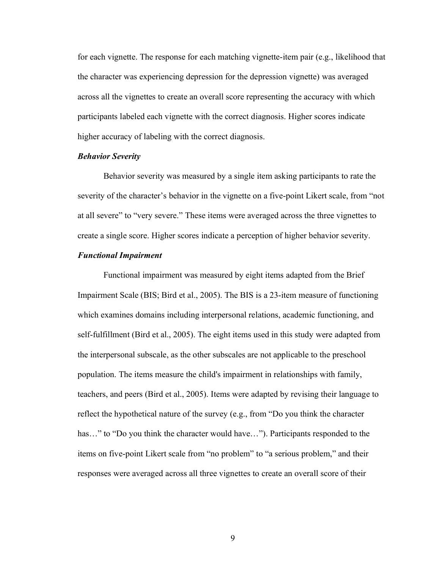for each vignette. The response for each matching vignette-item pair (e.g., likelihood that the character was experiencing depression for the depression vignette) was averaged across all the vignettes to create an overall score representing the accuracy with which participants labeled each vignette with the correct diagnosis. Higher scores indicate higher accuracy of labeling with the correct diagnosis.

#### *Behavior Severity*

Behavior severity was measured by a single item asking participants to rate the severity of the character's behavior in the vignette on a five-point Likert scale, from "not at all severe" to "very severe." These items were averaged across the three vignettes to create a single score. Higher scores indicate a perception of higher behavior severity.

#### *Functional Impairment*

Functional impairment was measured by eight items adapted from the Brief Impairment Scale (BIS; Bird et al., 2005). The BIS is a 23-item measure of functioning which examines domains including interpersonal relations, academic functioning, and self-fulfillment (Bird et al., 2005). The eight items used in this study were adapted from the interpersonal subscale, as the other subscales are not applicable to the preschool population. The items measure the child's impairment in relationships with family, teachers, and peers (Bird et al., 2005). Items were adapted by revising their language to reflect the hypothetical nature of the survey (e.g., from "Do you think the character has..." to "Do you think the character would have..."). Participants responded to the items on five-point Likert scale from "no problem" to "a serious problem," and their responses were averaged across all three vignettes to create an overall score of their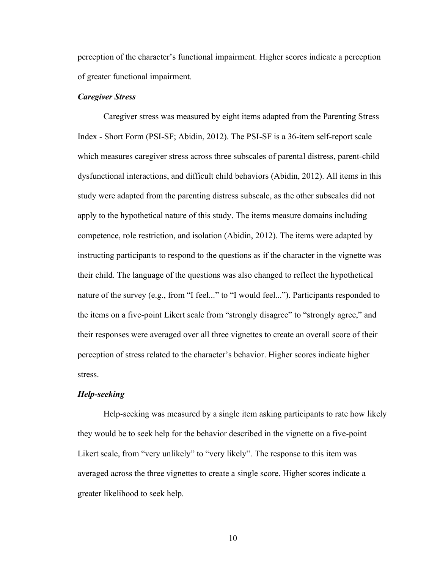perception of the character's functional impairment. Higher scores indicate a perception of greater functional impairment.

#### *Caregiver Stress*

Caregiver stress was measured by eight items adapted from the Parenting Stress Index - Short Form (PSI-SF; Abidin, 2012). The PSI-SF is a 36-item self-report scale which measures caregiver stress across three subscales of parental distress, parent-child dysfunctional interactions, and difficult child behaviors (Abidin, 2012). All items in this study were adapted from the parenting distress subscale, as the other subscales did not apply to the hypothetical nature of this study. The items measure domains including competence, role restriction, and isolation (Abidin, 2012). The items were adapted by instructing participants to respond to the questions as if the character in the vignette was their child. The language of the questions was also changed to reflect the hypothetical nature of the survey (e.g., from "I feel..." to "I would feel..."). Participants responded to the items on a five-point Likert scale from "strongly disagree" to "strongly agree," and their responses were averaged over all three vignettes to create an overall score of their perception of stress related to the character's behavior. Higher scores indicate higher stress.

#### *Help-seeking*

Help-seeking was measured by a single item asking participants to rate how likely they would be to seek help for the behavior described in the vignette on a five-point Likert scale, from "very unlikely" to "very likely". The response to this item was averaged across the three vignettes to create a single score. Higher scores indicate a greater likelihood to seek help.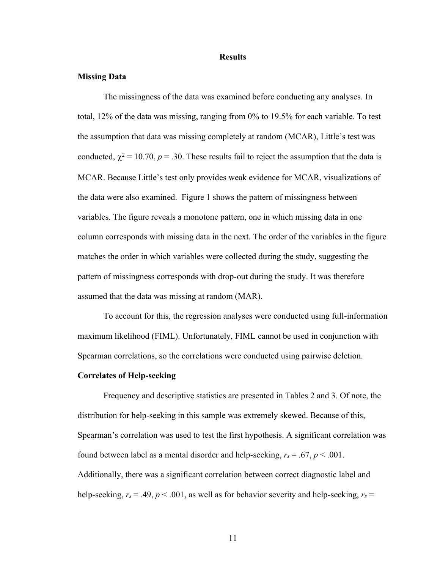#### **Results**

#### **Missing Data**

The missingness of the data was examined before conducting any analyses. In total, 12% of the data was missing, ranging from 0% to 19.5% for each variable. To test the assumption that data was missing completely at random (MCAR), Little's test was conducted,  $\chi^2 = 10.70$ ,  $p = .30$ . These results fail to reject the assumption that the data is MCAR. Because Little's test only provides weak evidence for MCAR, visualizations of the data were also examined. Figure 1 shows the pattern of missingness between variables. The figure reveals a monotone pattern, one in which missing data in one column corresponds with missing data in the next. The order of the variables in the figure matches the order in which variables were collected during the study, suggesting the pattern of missingness corresponds with drop-out during the study. It was therefore assumed that the data was missing at random (MAR).

To account for this, the regression analyses were conducted using full-information maximum likelihood (FIML). Unfortunately, FIML cannot be used in conjunction with Spearman correlations, so the correlations were conducted using pairwise deletion.

#### **Correlates of Help-seeking**

Frequency and descriptive statistics are presented in Tables 2 and 3. Of note, the distribution for help-seeking in this sample was extremely skewed. Because of this, Spearman's correlation was used to test the first hypothesis. A significant correlation was found between label as a mental disorder and help-seeking,  $r_s = .67$ ,  $p < .001$ . Additionally, there was a significant correlation between correct diagnostic label and help-seeking,  $r_s = .49$ ,  $p < .001$ , as well as for behavior severity and help-seeking,  $r_s =$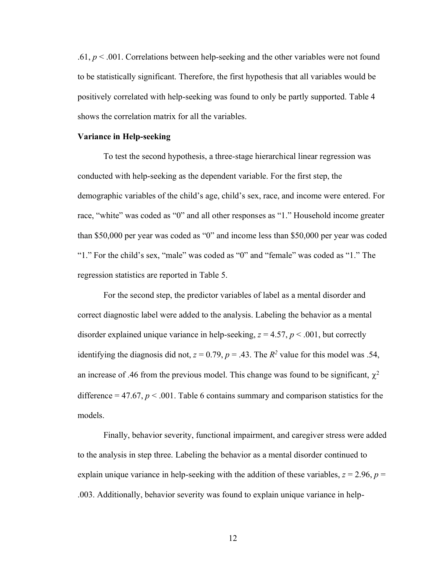.61, *p* < .001. Correlations between help-seeking and the other variables were not found to be statistically significant. Therefore, the first hypothesis that all variables would be positively correlated with help-seeking was found to only be partly supported. Table 4 shows the correlation matrix for all the variables.

#### **Variance in Help-seeking**

To test the second hypothesis, a three-stage hierarchical linear regression was conducted with help-seeking as the dependent variable. For the first step, the demographic variables of the child's age, child's sex, race, and income were entered. For race, "white" was coded as "0" and all other responses as "1." Household income greater than \$50,000 per year was coded as "0" and income less than \$50,000 per year was coded "1." For the child's sex, "male" was coded as "0" and "female" was coded as "1." The regression statistics are reported in Table 5.

For the second step, the predictor variables of label as a mental disorder and correct diagnostic label were added to the analysis. Labeling the behavior as a mental disorder explained unique variance in help-seeking,  $z = 4.57$ ,  $p < .001$ , but correctly identifying the diagnosis did not,  $z = 0.79$ ,  $p = .43$ . The  $R<sup>2</sup>$  value for this model was .54, an increase of .46 from the previous model. This change was found to be significant,  $\chi^2$ difference  $= 47.67$ ,  $p < .001$ . Table 6 contains summary and comparison statistics for the models.

Finally, behavior severity, functional impairment, and caregiver stress were added to the analysis in step three. Labeling the behavior as a mental disorder continued to explain unique variance in help-seeking with the addition of these variables,  $z = 2.96$ ,  $p =$ .003. Additionally, behavior severity was found to explain unique variance in help-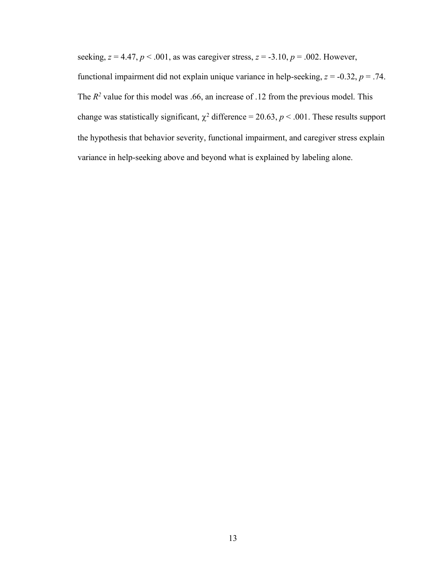seeking,  $z = 4.47$ ,  $p < .001$ , as was caregiver stress,  $z = .3.10$ ,  $p = .002$ . However,

functional impairment did not explain unique variance in help-seeking,  $z = -0.32$ ,  $p = .74$ . The  $R<sup>2</sup>$  value for this model was .66, an increase of .12 from the previous model. This change was statistically significant,  $\chi^2$  difference = 20.63,  $p < .001$ . These results support the hypothesis that behavior severity, functional impairment, and caregiver stress explain variance in help-seeking above and beyond what is explained by labeling alone.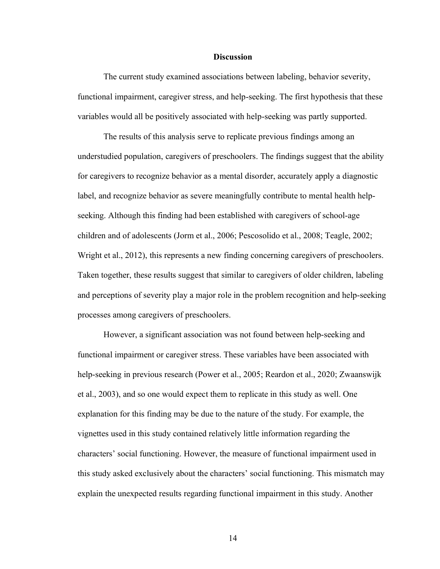#### **Discussion**

The current study examined associations between labeling, behavior severity, functional impairment, caregiver stress, and help-seeking. The first hypothesis that these variables would all be positively associated with help-seeking was partly supported.

The results of this analysis serve to replicate previous findings among an understudied population, caregivers of preschoolers. The findings suggest that the ability for caregivers to recognize behavior as a mental disorder, accurately apply a diagnostic label, and recognize behavior as severe meaningfully contribute to mental health helpseeking. Although this finding had been established with caregivers of school-age children and of adolescents (Jorm et al., 2006; Pescosolido et al., 2008; Teagle, 2002; Wright et al., 2012), this represents a new finding concerning caregivers of preschoolers. Taken together, these results suggest that similar to caregivers of older children, labeling and perceptions of severity play a major role in the problem recognition and help-seeking processes among caregivers of preschoolers.

However, a significant association was not found between help-seeking and functional impairment or caregiver stress. These variables have been associated with help-seeking in previous research (Power et al., 2005; Reardon et al., 2020; Zwaanswijk et al., 2003), and so one would expect them to replicate in this study as well. One explanation for this finding may be due to the nature of the study. For example, the vignettes used in this study contained relatively little information regarding the characters' social functioning. However, the measure of functional impairment used in this study asked exclusively about the characters' social functioning. This mismatch may explain the unexpected results regarding functional impairment in this study. Another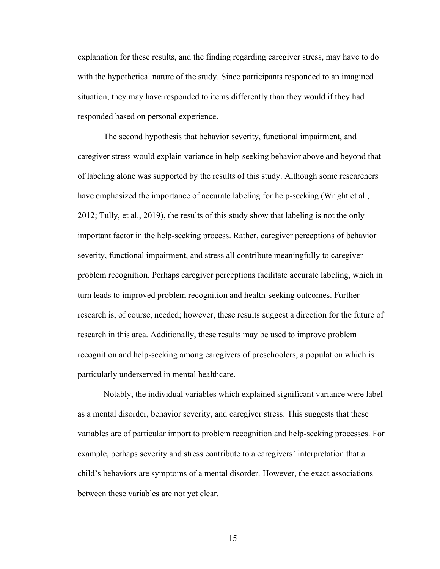explanation for these results, and the finding regarding caregiver stress, may have to do with the hypothetical nature of the study. Since participants responded to an imagined situation, they may have responded to items differently than they would if they had responded based on personal experience.

The second hypothesis that behavior severity, functional impairment, and caregiver stress would explain variance in help-seeking behavior above and beyond that of labeling alone was supported by the results of this study. Although some researchers have emphasized the importance of accurate labeling for help-seeking (Wright et al., 2012; Tully, et al., 2019), the results of this study show that labeling is not the only important factor in the help-seeking process. Rather, caregiver perceptions of behavior severity, functional impairment, and stress all contribute meaningfully to caregiver problem recognition. Perhaps caregiver perceptions facilitate accurate labeling, which in turn leads to improved problem recognition and health-seeking outcomes. Further research is, of course, needed; however, these results suggest a direction for the future of research in this area. Additionally, these results may be used to improve problem recognition and help-seeking among caregivers of preschoolers, a population which is particularly underserved in mental healthcare.

Notably, the individual variables which explained significant variance were label as a mental disorder, behavior severity, and caregiver stress. This suggests that these variables are of particular import to problem recognition and help-seeking processes. For example, perhaps severity and stress contribute to a caregivers' interpretation that a child's behaviors are symptoms of a mental disorder. However, the exact associations between these variables are not yet clear.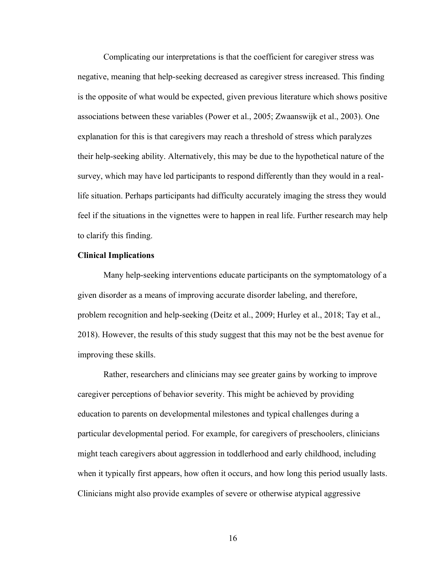Complicating our interpretations is that the coefficient for caregiver stress was negative, meaning that help-seeking decreased as caregiver stress increased. This finding is the opposite of what would be expected, given previous literature which shows positive associations between these variables (Power et al., 2005; Zwaanswijk et al., 2003). One explanation for this is that caregivers may reach a threshold of stress which paralyzes their help-seeking ability. Alternatively, this may be due to the hypothetical nature of the survey, which may have led participants to respond differently than they would in a reallife situation. Perhaps participants had difficulty accurately imaging the stress they would feel if the situations in the vignettes were to happen in real life. Further research may help to clarify this finding.

#### **Clinical Implications**

Many help-seeking interventions educate participants on the symptomatology of a given disorder as a means of improving accurate disorder labeling, and therefore, problem recognition and help-seeking (Deitz et al., 2009; Hurley et al., 2018; Tay et al., 2018). However, the results of this study suggest that this may not be the best avenue for improving these skills.

Rather, researchers and clinicians may see greater gains by working to improve caregiver perceptions of behavior severity. This might be achieved by providing education to parents on developmental milestones and typical challenges during a particular developmental period. For example, for caregivers of preschoolers, clinicians might teach caregivers about aggression in toddlerhood and early childhood, including when it typically first appears, how often it occurs, and how long this period usually lasts. Clinicians might also provide examples of severe or otherwise atypical aggressive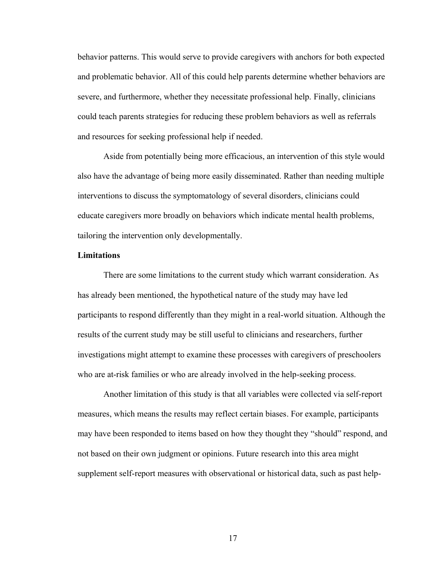behavior patterns. This would serve to provide caregivers with anchors for both expected and problematic behavior. All of this could help parents determine whether behaviors are severe, and furthermore, whether they necessitate professional help. Finally, clinicians could teach parents strategies for reducing these problem behaviors as well as referrals and resources for seeking professional help if needed.

Aside from potentially being more efficacious, an intervention of this style would also have the advantage of being more easily disseminated. Rather than needing multiple interventions to discuss the symptomatology of several disorders, clinicians could educate caregivers more broadly on behaviors which indicate mental health problems, tailoring the intervention only developmentally.

#### **Limitations**

There are some limitations to the current study which warrant consideration. As has already been mentioned, the hypothetical nature of the study may have led participants to respond differently than they might in a real-world situation. Although the results of the current study may be still useful to clinicians and researchers, further investigations might attempt to examine these processes with caregivers of preschoolers who are at-risk families or who are already involved in the help-seeking process.

Another limitation of this study is that all variables were collected via self-report measures, which means the results may reflect certain biases. For example, participants may have been responded to items based on how they thought they "should" respond, and not based on their own judgment or opinions. Future research into this area might supplement self-report measures with observational or historical data, such as past help-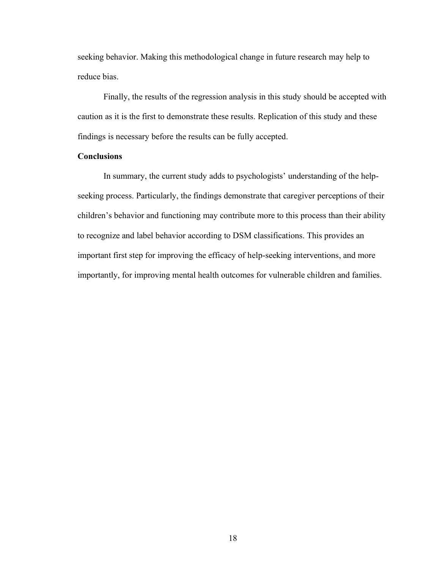seeking behavior. Making this methodological change in future research may help to reduce bias.

Finally, the results of the regression analysis in this study should be accepted with caution as it is the first to demonstrate these results. Replication of this study and these findings is necessary before the results can be fully accepted.

#### **Conclusions**

In summary, the current study adds to psychologists' understanding of the helpseeking process. Particularly, the findings demonstrate that caregiver perceptions of their children's behavior and functioning may contribute more to this process than their ability to recognize and label behavior according to DSM classifications. This provides an important first step for improving the efficacy of help-seeking interventions, and more importantly, for improving mental health outcomes for vulnerable children and families.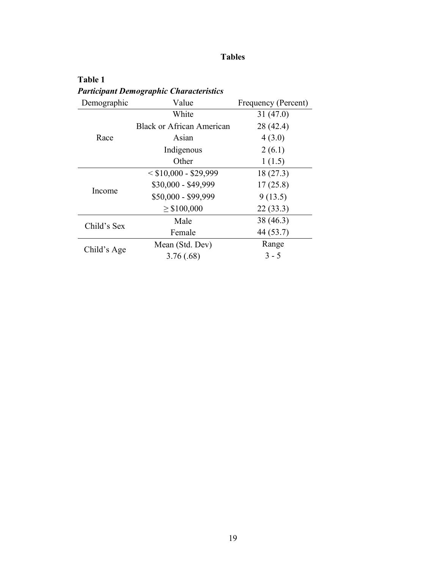## **Tables**

**Table 1** *Participant Demographic Characteristics*

| Demographic | Value                            | Frequency (Percent) |  |
|-------------|----------------------------------|---------------------|--|
|             | White                            | 31(47.0)            |  |
| Race        | <b>Black or African American</b> | 28 (42.4)           |  |
|             | Asian                            | 4(3.0)              |  |
|             | Indigenous                       | 2(6.1)              |  |
|             | Other                            | 1(1.5)              |  |
| Income      | $<$ \$10,000 - \$29,999          | 18 (27.3)           |  |
|             | \$30,000 - \$49,999              | 17(25.8)            |  |
|             | \$50,000 - \$99,999              | 9(13.5)             |  |
|             | $\geq$ \$100,000                 | 22(33.3)            |  |
| Child's Sex | Male                             | 38 (46.3)           |  |
|             | Female                           | 44 (53.7)           |  |
| Child's Age | Mean (Std. Dev)                  | Range               |  |
|             | 3.76(.68)                        | $3 - 5$             |  |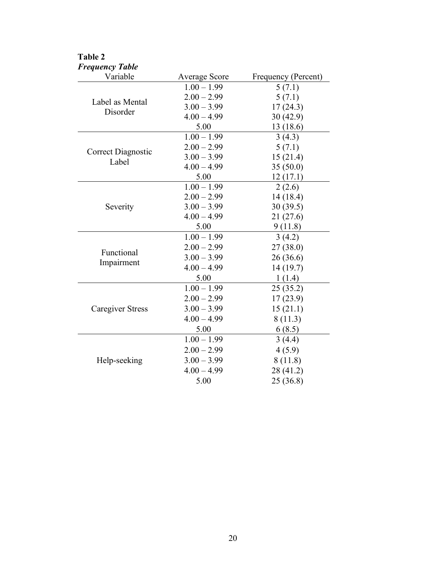| <b>Frequency Table</b> |                      |                     |
|------------------------|----------------------|---------------------|
| Variable               | <b>Average Score</b> | Frequency (Percent) |
|                        | $1.00 - 1.99$        | 5(7.1)              |
| Label as Mental        | $2.00 - 2.99$        | 5(7.1)              |
| Disorder               | $3.00 - 3.99$        | 17(24.3)            |
|                        | $4.00 - 4.99$        | 30(42.9)            |
|                        | 5.00                 | 13 (18.6)           |
|                        | $1.00 - 1.99$        | 3(4.3)              |
| Correct Diagnostic     | $2.00 - 2.99$        | 5(7.1)              |
| Label                  | $3.00 - 3.99$        | 15(21.4)            |
|                        | $4.00 - 4.99$        | 35(50.0)            |
|                        | 5.00                 | 12(17.1)            |
|                        | $1.00 - 1.99$        | 2(2.6)              |
|                        | $2.00 - 2.99$        | 14(18.4)            |
| Severity               | $3.00 - 3.99$        | 30(39.5)            |
|                        | $4.00 - 4.99$        | 21(27.6)            |
|                        | 5.00                 | 9(11.8)             |
|                        | $1.00 - 1.99$        | 3(4.2)              |
| Functional             | $2.00 - 2.99$        | 27 (38.0)           |
| Impairment             | $3.00 - 3.99$        | 26(36.6)            |
|                        | $4.00 - 4.99$        | 14(19.7)            |
|                        | 5.00                 | 1(1.4)              |
|                        | $1.00 - 1.99$        | 25(35.2)            |
|                        | $2.00 - 2.99$        | 17(23.9)            |
| Caregiver Stress       | $3.00 - 3.99$        | 15(21.1)            |
|                        | $4.00 - 4.99$        | 8(11.3)             |
|                        | 5.00                 | 6(8.5)              |
|                        | $1.00 - 1.99$        | 3(4.4)              |
|                        | $2.00 - 2.99$        | 4(5.9)              |
| Help-seeking           | $3.00 - 3.99$        | 8(11.8)             |
|                        | $4.00 - 4.99$        | 28 (41.2)           |
|                        | 5.00                 | 25(36.8)            |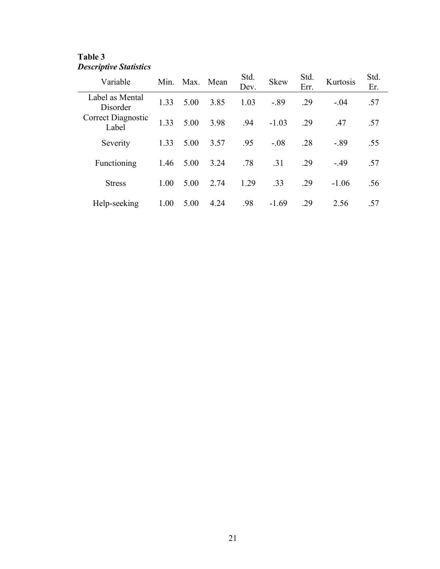## **Table 3** *Descriptive Statistics*

| Variable                           |      | Min. Max. | Mean | Std.<br>Dev. | <b>Skew</b> | Std.<br>Err. | Kurtosis | Std.<br>Er. |
|------------------------------------|------|-----------|------|--------------|-------------|--------------|----------|-------------|
| Label as Mental<br>Disorder        | 1.33 | 5.00      | 3.85 | 1.03         | $-.89$      | .29          | $-.04$   | .57         |
| <b>Correct Diagnostic</b><br>Label | 1.33 | 5.00      | 3.98 | .94          | $-1.03$     | .29          | .47      | .57         |
| Severity                           | 1.33 | 5.00      | 3.57 | .95          | $-.08$      | .28          | $-.89$   | .55         |
| Functioning                        | 1.46 | 5.00      | 3.24 | .78          | .31         | .29          | $-.49$   | .57         |
| <b>Stress</b>                      | 1.00 | 5.00      | 2.74 | 1.29         | .33         | .29          | $-1.06$  | .56         |
| Help-seeking                       | 1.00 | 5.00      | 4.24 | .98          | $-1.69$     | .29          | 2.56     | .57         |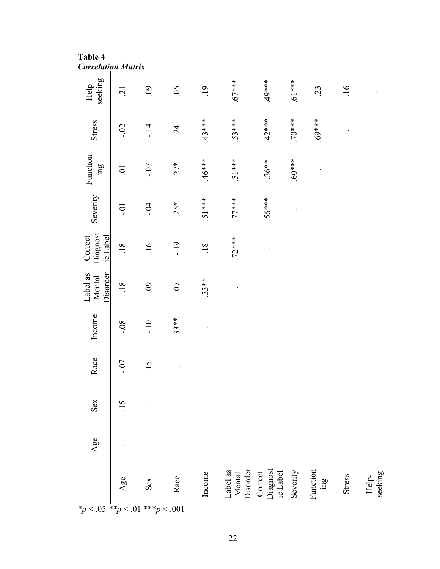**Table 4** *Correlation Matrix*

| seeking<br>Help-                        | $\overline{c}$ | .09              | .05        | .19              | $*** 67$                       | $49***$                         | $***19$ .  | 23                          | $\overline{.16}$ |                  |
|-----------------------------------------|----------------|------------------|------------|------------------|--------------------------------|---------------------------------|------------|-----------------------------|------------------|------------------|
| Stress                                  | $-0.2$         | $-14$            | $\ddot{c}$ | $.43***$         | $.53***$                       | $.42***$                        | $***0.7$   | $***69$                     |                  |                  |
| Function<br>$\lim_{\alpha}$             | $\sum$         | $-0.7$           | $27*$      | $46***$          | $.51***$                       | $.36**$                         | $***0.6$ . |                             |                  |                  |
| Severity                                | io-            | $-0.4$           | $25*$      | $.51***$         | $***77$                        | $56***$                         |            |                             |                  |                  |
| Diagnost<br>Correct<br>ic Label         | .18            | $\overline{.16}$ | $-19$      | $\overline{.18}$ | $.72***$                       |                                 |            |                             |                  |                  |
| Disorder<br>Label as<br>Mental          | .18            | 60.              | .07        | $.33**$          |                                |                                 |            |                             |                  |                  |
| Income                                  | $80 -$         | $-10$            | $.33**$    |                  |                                |                                 |            |                             |                  |                  |
| Race                                    | $-0.7$         | $\ddot{5}$       |            |                  |                                |                                 |            |                             |                  |                  |
| Sex                                     | 15             |                  |            |                  |                                |                                 |            |                             |                  |                  |
| Age                                     |                |                  |            |                  |                                |                                 |            |                             |                  |                  |
|                                         | Age            | Sex              | Race       | Income           | Label as<br>Mental<br>Disorder | Correct<br>Diagnost<br>ic Label | Severity   | Function<br>$\mathbf{g}$ ur | Stress           | seeking<br>Help- |
| * $p < .05$ ** $p < .01$ *** $p < .001$ |                |                  |            |                  |                                |                                 |            |                             |                  |                  |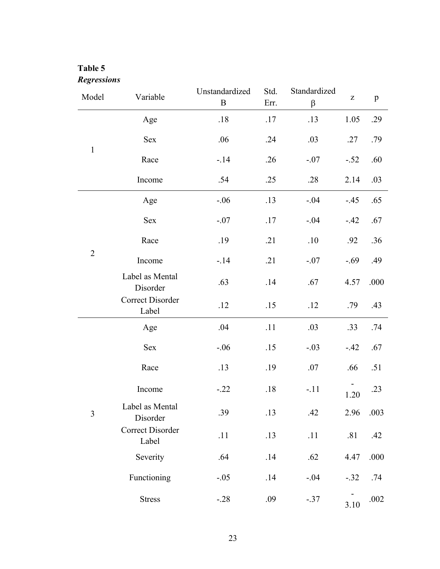## **Table 5** *Regressions*

| Model          | Variable                         | Unstandardized<br>$\, {\bf B}$ | Std.<br>Err. | Standardized<br>β | $\mathbf{Z}% ^{t}\left( \mathbf{Z}_{1}\right)$ | p    |
|----------------|----------------------------------|--------------------------------|--------------|-------------------|------------------------------------------------|------|
|                | Age                              | $.18$                          | .17          | .13               | 1.05                                           | .29  |
|                | Sex                              | .06                            | .24          | .03               | .27                                            | .79  |
| $\mathbf{1}$   | Race                             | $-.14$                         | .26          | $-.07$            | $-.52$                                         | .60  |
|                | Income                           | .54                            | .25          | .28               | 2.14                                           | .03  |
|                | Age                              | $-.06$                         | .13          | $-.04$            | $-.45$                                         | .65  |
|                | Sex                              | $-.07$                         | .17          | $-.04$            | $-.42$                                         | .67  |
| $\overline{2}$ | Race                             | .19                            | .21          | .10               | .92                                            | .36  |
|                | Income                           | $-.14$                         | .21          | $-.07$            | $-.69$                                         | .49  |
|                | Label as Mental<br>Disorder      | .63                            | .14          | .67               | 4.57                                           | .000 |
|                | <b>Correct Disorder</b><br>Label | .12                            | .15          | .12               | .79                                            | .43  |
|                | Age                              | .04                            | .11          | .03               | .33                                            | .74  |
|                | Sex                              | $-.06$                         | .15          | $-.03$            | $-.42$                                         | .67  |
|                | Race                             | .13                            | .19          | .07               | .66                                            | .51  |
|                | Income                           | $-.22$                         | .18          | $-.11$            | 1.20                                           | .23  |
| $\overline{3}$ | Label as Mental<br>Disorder      | .39                            | .13          | .42               | 2.96                                           | .003 |
|                | <b>Correct Disorder</b><br>Label | .11                            | .13          | .11               | .81                                            | .42  |
|                | Severity                         | .64                            | .14          | .62               | 4.47                                           | .000 |
|                | Functioning                      | $-.05$                         | .14          | $-.04$            | $-.32$                                         | .74  |
|                | <b>Stress</b>                    | $-.28$                         | .09          | $-.37$            | 3.10                                           | .002 |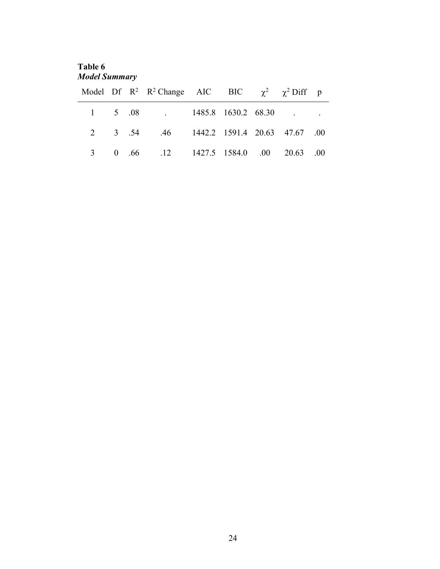**Table 6** *Model Summary*

|  | Model Df R <sup>2</sup> R <sup>2</sup> Change AIC BIC $\chi^2$ $\chi^2$ Diff p |  |  |  |
|--|--------------------------------------------------------------------------------|--|--|--|
|  | $1 \quad 5 \quad .08 \quad .1485.8 \quad 1630.2 \quad 68.30 \quad . \quad .$   |  |  |  |
|  | 2 3 .54 .46 1442.2 1591.4 20.63 47.67 .00                                      |  |  |  |
|  | 3 0 .66 .12 1427.5 1584.0 .00 20.63 .00                                        |  |  |  |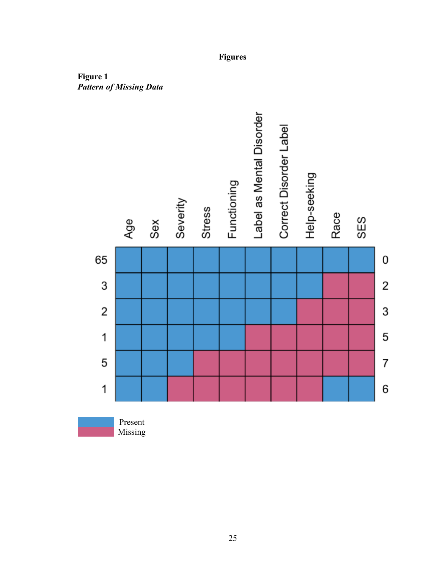

**Figures**

**Figure 1** *Pattern of Missing Data*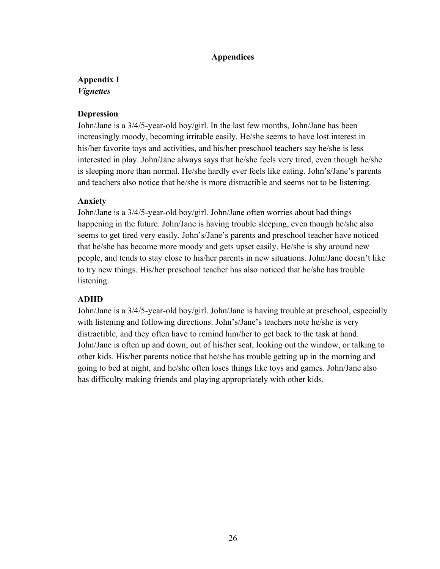## **Appendices**

## **Appendix I** *Vignettes*

## **Depression**

John/Jane is a 3/4/5-year-old boy/girl. In the last few months, John/Jane has been increasingly moody, becoming irritable easily. He/she seems to have lost interest in his/her favorite toys and activities, and his/her preschool teachers say he/she is less interested in play. John/Jane always says that he/she feels very tired, even though he/she is sleeping more than normal. He/she hardly ever feels like eating. John's/Jane's parents and teachers also notice that he/she is more distractible and seems not to be listening.

## **Anxiety**

John/Jane is a 3/4/5-year-old boy/girl. John/Jane often worries about bad things happening in the future. John/Jane is having trouble sleeping, even though he/she also seems to get tired very easily. John's/Jane's parents and preschool teacher have noticed that he/she has become more moody and gets upset easily. He/she is shy around new people, and tends to stay close to his/her parents in new situations. John/Jane doesn't like to try new things. His/her preschool teacher has also noticed that he/she has trouble listening.

## **ADHD**

John/Jane is a 3/4/5-year-old boy/girl. John/Jane is having trouble at preschool, especially with listening and following directions. John's/Jane's teachers note he/she is very distractible, and they often have to remind him/her to get back to the task at hand. John/Jane is often up and down, out of his/her seat, looking out the window, or talking to other kids. His/her parents notice that he/she has trouble getting up in the morning and going to bed at night, and he/she often loses things like toys and games. John/Jane also has difficulty making friends and playing appropriately with other kids.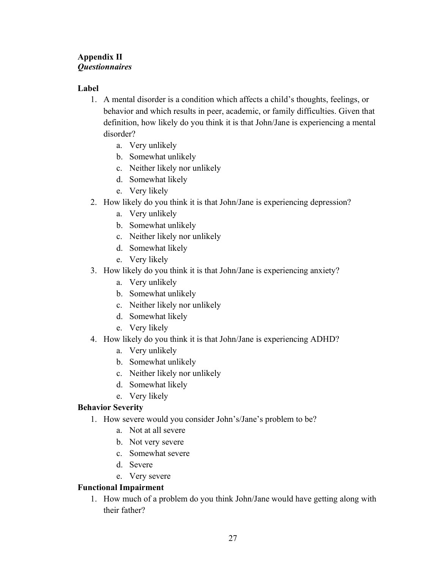## **Appendix II** *Questionnaires*

## **Label**

- 1. A mental disorder is a condition which affects a child's thoughts, feelings, or behavior and which results in peer, academic, or family difficulties. Given that definition, how likely do you think it is that John/Jane is experiencing a mental disorder?
	- a. Very unlikely
	- b. Somewhat unlikely
	- c. Neither likely nor unlikely
	- d. Somewhat likely
	- e. Very likely
- 2. How likely do you think it is that John/Jane is experiencing depression?
	- a. Very unlikely
	- b. Somewhat unlikely
	- c. Neither likely nor unlikely
	- d. Somewhat likely
	- e. Very likely
- 3. How likely do you think it is that John/Jane is experiencing anxiety?
	- a. Very unlikely
	- b. Somewhat unlikely
	- c. Neither likely nor unlikely
	- d. Somewhat likely
	- e. Very likely
- 4. How likely do you think it is that John/Jane is experiencing ADHD?
	- a. Very unlikely
	- b. Somewhat unlikely
	- c. Neither likely nor unlikely
	- d. Somewhat likely
	- e. Very likely

## **Behavior Severity**

- 1. How severe would you consider John's/Jane's problem to be?
	- a. Not at all severe
	- b. Not very severe
	- c. Somewhat severe
	- d. Severe
	- e. Very severe

## **Functional Impairment**

1. How much of a problem do you think John/Jane would have getting along with their father?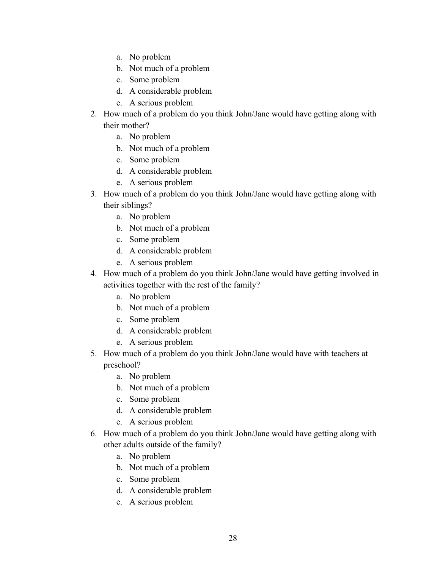- a. No problem
- b. Not much of a problem
- c. Some problem
- d. A considerable problem
- e. A serious problem
- 2. How much of a problem do you think John/Jane would have getting along with their mother?
	- a. No problem
	- b. Not much of a problem
	- c. Some problem
	- d. A considerable problem
	- e. A serious problem
- 3. How much of a problem do you think John/Jane would have getting along with their siblings?
	- a. No problem
	- b. Not much of a problem
	- c. Some problem
	- d. A considerable problem
	- e. A serious problem
- 4. How much of a problem do you think John/Jane would have getting involved in activities together with the rest of the family?
	- a. No problem
	- b. Not much of a problem
	- c. Some problem
	- d. A considerable problem
	- e. A serious problem
- 5. How much of a problem do you think John/Jane would have with teachers at preschool?
	- a. No problem
	- b. Not much of a problem
	- c. Some problem
	- d. A considerable problem
	- e. A serious problem
- 6. How much of a problem do you think John/Jane would have getting along with other adults outside of the family?
	- a. No problem
	- b. Not much of a problem
	- c. Some problem
	- d. A considerable problem
	- e. A serious problem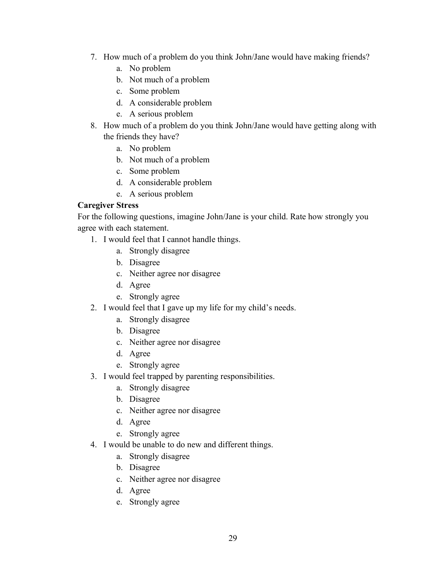- 7. How much of a problem do you think John/Jane would have making friends?
	- a. No problem
	- b. Not much of a problem
	- c. Some problem
	- d. A considerable problem
	- e. A serious problem
- 8. How much of a problem do you think John/Jane would have getting along with the friends they have?
	- a. No problem
	- b. Not much of a problem
	- c. Some problem
	- d. A considerable problem
	- e. A serious problem

## **Caregiver Stress**

For the following questions, imagine John/Jane is your child. Rate how strongly you agree with each statement.

- 1. I would feel that I cannot handle things.
	- a. Strongly disagree
	- b. Disagree
	- c. Neither agree nor disagree
	- d. Agree
	- e. Strongly agree
- 2. I would feel that I gave up my life for my child's needs.
	- a. Strongly disagree
	- b. Disagree
	- c. Neither agree nor disagree
	- d. Agree
	- e. Strongly agree
- 3. I would feel trapped by parenting responsibilities.
	- a. Strongly disagree
	- b. Disagree
	- c. Neither agree nor disagree
	- d. Agree
	- e. Strongly agree
- 4. I would be unable to do new and different things.
	- a. Strongly disagree
	- b. Disagree
	- c. Neither agree nor disagree
	- d. Agree
	- e. Strongly agree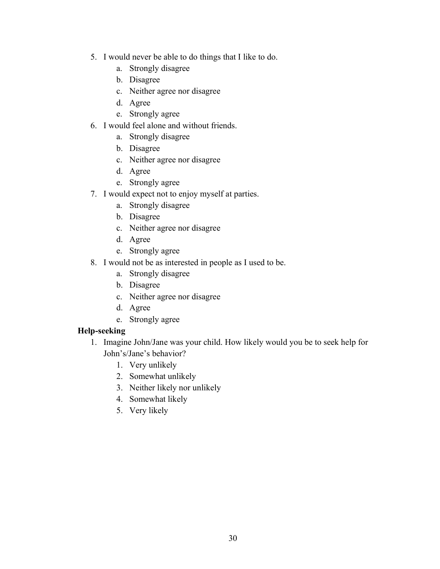- 5. I would never be able to do things that I like to do.
	- a. Strongly disagree
	- b. Disagree
	- c. Neither agree nor disagree
	- d. Agree
	- e. Strongly agree
- 6. I would feel alone and without friends.
	- a. Strongly disagree
	- b. Disagree
	- c. Neither agree nor disagree
	- d. Agree
	- e. Strongly agree
- 7. I would expect not to enjoy myself at parties.
	- a. Strongly disagree
	- b. Disagree
	- c. Neither agree nor disagree
	- d. Agree
	- e. Strongly agree
- 8. I would not be as interested in people as I used to be.
	- a. Strongly disagree
	- b. Disagree
	- c. Neither agree nor disagree
	- d. Agree
	- e. Strongly agree

## **Help-seeking**

- 1. Imagine John/Jane was your child. How likely would you be to seek help for John's/Jane's behavior?
	- 1. Very unlikely
	- 2. Somewhat unlikely
	- 3. Neither likely nor unlikely
	- 4. Somewhat likely
	- 5. Very likely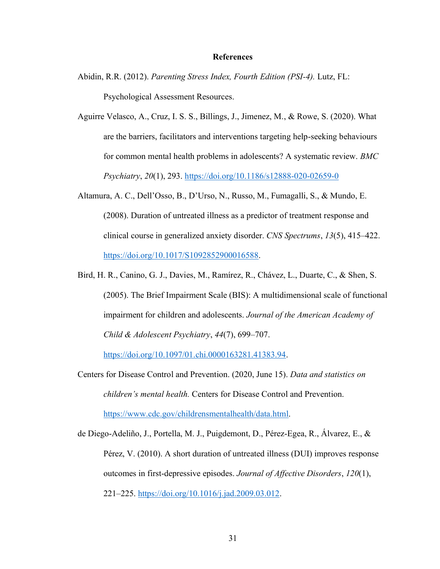#### **References**

- Abidin, R.R. (2012). *Parenting Stress Index, Fourth Edition (PSI-4).* Lutz, FL: Psychological Assessment Resources.
- Aguirre Velasco, A., Cruz, I. S. S., Billings, J., Jimenez, M., & Rowe, S. (2020). What are the barriers, facilitators and interventions targeting help-seeking behaviours for common mental health problems in adolescents? A systematic review. *BMC Psychiatry*, *20*(1), 293.<https://doi.org/10.1186/s12888-020-02659-0>
- Altamura, A. C., Dell'Osso, B., D'Urso, N., Russo, M., Fumagalli, S., & Mundo, E. (2008). Duration of untreated illness as a predictor of treatment response and clinical course in generalized anxiety disorder. *CNS Spectrums*, *13*(5), 415–422. [https://doi.org/10.1017/S1092852900016588.](https://doi.org/10.1017/S1092852900016588)
- Bird, H. R., Canino, G. J., Davies, M., Ramírez, R., Chávez, L., Duarte, C., & Shen, S. (2005). The Brief Impairment Scale (BIS): A multidimensional scale of functional impairment for children and adolescents. *Journal of the American Academy of Child & Adolescent Psychiatry*, *44*(7), 699–707.

[https://doi.org/10.1097/01.chi.0000163281.41383.94.](https://doi.org/10.1097/01.chi.0000163281.41383.94)

Centers for Disease Control and Prevention. (2020, June 15). *Data and statistics on children's mental health.* Centers for Disease Control and Prevention. [https://www.cdc.gov/childrensmentalhealth/data.html.](https://www.cdc.gov/childrensmentalhealth/data.html)

de Diego-Adeliño, J., Portella, M. J., Puigdemont, D., Pérez-Egea, R., Álvarez, E., & Pérez, V. (2010). A short duration of untreated illness (DUI) improves response outcomes in first-depressive episodes. *Journal of Affective Disorders*, *120*(1), 221–225. [https://doi.org/10.1016/j.jad.2009.03.012.](https://doi.org/10.1016/j.jad.2009.03.012)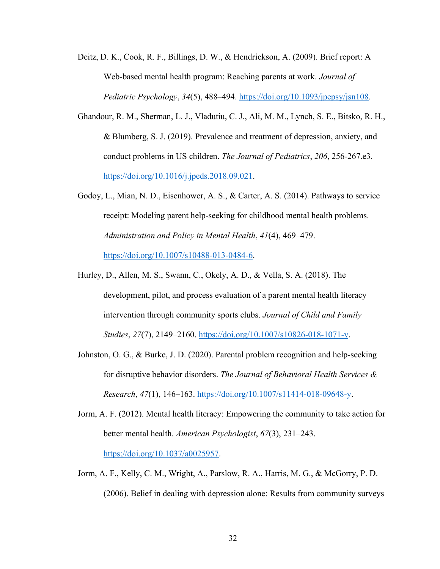- Deitz, D. K., Cook, R. F., Billings, D. W., & Hendrickson, A. (2009). Brief report: A Web-based mental health program: Reaching parents at work. *Journal of Pediatric Psychology*, *34*(5), 488–494. [https://doi.org/10.1093/jpepsy/jsn108.](https://doi.org/10.1093/jpepsy/jsn108)
- Ghandour, R. M., Sherman, L. J., Vladutiu, C. J., Ali, M. M., Lynch, S. E., Bitsko, R. H., & Blumberg, S. J. (2019). Prevalence and treatment of depression, anxiety, and conduct problems in US children. *The Journal of Pediatrics*, *206*, 256-267.e3. [https://doi.org/10.1016/j.jpeds.2018.09.021.](https://doi.org/10.1016/j.jpeds.2018.09.021)
- Godoy, L., Mian, N. D., Eisenhower, A. S., & Carter, A. S. (2014). Pathways to service receipt: Modeling parent help-seeking for childhood mental health problems. *Administration and Policy in Mental Health*, *41*(4), 469–479. [https://doi.org/10.1007/s10488-013-0484-6.](https://doi.org/10.1007/s10488-013-0484-6)
- Hurley, D., Allen, M. S., Swann, C., Okely, A. D., & Vella, S. A. (2018). The development, pilot, and process evaluation of a parent mental health literacy intervention through community sports clubs. *Journal of Child and Family Studies*, *27*(7), 2149–2160. [https://doi.org/10.1007/s10826-018-1071-y.](https://doi.org/10.1007/s10826-018-1071-y)
- Johnston, O. G., & Burke, J. D. (2020). Parental problem recognition and help-seeking for disruptive behavior disorders. *The Journal of Behavioral Health Services & Research*, *47*(1), 146–163. [https://doi.org/10.1007/s11414-018-09648-y.](https://doi.org/10.1007/s11414-018-09648-y)
- Jorm, A. F. (2012). Mental health literacy: Empowering the community to take action for better mental health. *American Psychologist*, *67*(3), 231–243. [https://doi.org/10.1037/a0025957.](https://doi.org/10.1037/a0025957)
- Jorm, A. F., Kelly, C. M., Wright, A., Parslow, R. A., Harris, M. G., & McGorry, P. D. (2006). Belief in dealing with depression alone: Results from community surveys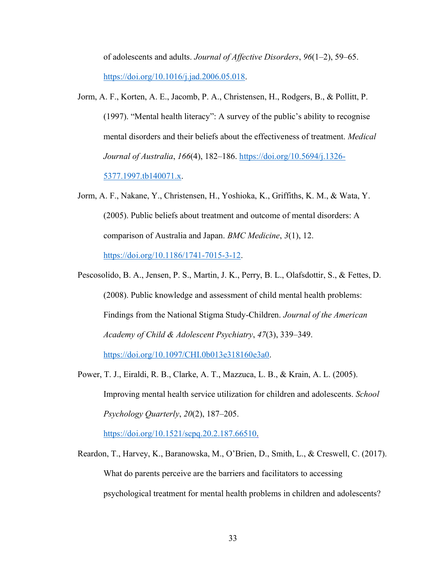of adolescents and adults. *Journal of Affective Disorders*, *96*(1–2), 59–65. [https://doi.org/10.1016/j.jad.2006.05.018.](https://doi.org/10.1016/j.jad.2006.05.018)

- Jorm, A. F., Korten, A. E., Jacomb, P. A., Christensen, H., Rodgers, B., & Pollitt, P. (1997). "Mental health literacy": A survey of the public's ability to recognise mental disorders and their beliefs about the effectiveness of treatment. *Medical Journal of Australia*, *166*(4), 182–186. [https://doi.org/10.5694/j.1326-](https://doi.org/10.5694/j.1326-5377.1997.tb140071.x) [5377.1997.tb140071.x.](https://doi.org/10.5694/j.1326-5377.1997.tb140071.x)
- Jorm, A. F., Nakane, Y., Christensen, H., Yoshioka, K., Griffiths, K. M., & Wata, Y. (2005). Public beliefs about treatment and outcome of mental disorders: A comparison of Australia and Japan. *BMC Medicine*, *3*(1), 12. [https://doi.org/10.1186/1741-7015-3-12.](https://doi.org/10.1186/1741-7015-3-12)
- Pescosolido, B. A., Jensen, P. S., Martin, J. K., Perry, B. L., Olafsdottir, S., & Fettes, D. (2008). Public knowledge and assessment of child mental health problems: Findings from the National Stigma Study-Children. *Journal of the American Academy of Child & Adolescent Psychiatry*, *47*(3), 339–349. [https://doi.org/10.1097/CHI.0b013e318160e3a0.](https://doi.org/10.1097/CHI.0b013e318160e3a0)
- Power, T. J., Eiraldi, R. B., Clarke, A. T., Mazzuca, L. B., & Krain, A. L. (2005). Improving mental health service utilization for children and adolescents. *School Psychology Quarterly*, *20*(2), 187–205.

[https://doi.org/10.1521/scpq.20.2.187.66510.](https://doi.org/10.1521/scpq.20.2.187.66510)

Reardon, T., Harvey, K., Baranowska, M., O'Brien, D., Smith, L., & Creswell, C. (2017). What do parents perceive are the barriers and facilitators to accessing psychological treatment for mental health problems in children and adolescents?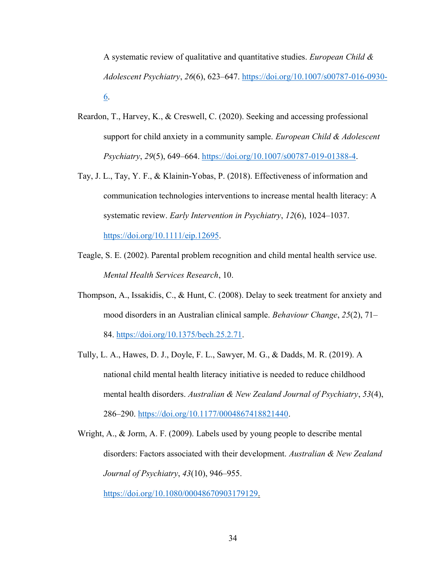A systematic review of qualitative and quantitative studies. *European Child & Adolescent Psychiatry*, *26*(6), 623–647. [https://doi.org/10.1007/s00787-016-0930-](https://doi.org/10.1007/s00787-016-0930-6) [6.](https://doi.org/10.1007/s00787-016-0930-6)

- Reardon, T., Harvey, K., & Creswell, C. (2020). Seeking and accessing professional support for child anxiety in a community sample. *European Child & Adolescent Psychiatry*, *29*(5), 649–664. [https://doi.org/10.1007/s00787-019-01388-4.](https://doi.org/10.1007/s00787-019-01388-4)
- Tay, J. L., Tay, Y. F., & Klainin-Yobas, P. (2018). Effectiveness of information and communication technologies interventions to increase mental health literacy: A systematic review. *Early Intervention in Psychiatry*, *12*(6), 1024–1037. [https://doi.org/10.1111/eip.12695.](https://doi.org/10.1111/eip.12695)
- Teagle, S. E. (2002). Parental problem recognition and child mental health service use. *Mental Health Services Research*, 10.
- Thompson, A., Issakidis, C., & Hunt, C. (2008). Delay to seek treatment for anxiety and mood disorders in an Australian clinical sample. *Behaviour Change*, *25*(2), 71– 84. [https://doi.org/10.1375/bech.25.2.71.](https://doi.org/10.1375/bech.25.2.71)
- Tully, L. A., Hawes, D. J., Doyle, F. L., Sawyer, M. G., & Dadds, M. R. (2019). A national child mental health literacy initiative is needed to reduce childhood mental health disorders. *Australian & New Zealand Journal of Psychiatry*, *53*(4), 286–290. [https://doi.org/10.1177/0004867418821440.](https://doi.org/10.1177/0004867418821440)

Wright, A., & Jorm, A. F. (2009). Labels used by young people to describe mental disorders: Factors associated with their development. *Australian & New Zealand Journal of Psychiatry*, *43*(10), 946–955.

[https://doi.org/10.1080/00048670903179129.](https://doi.org/10.1080/00048670903179129)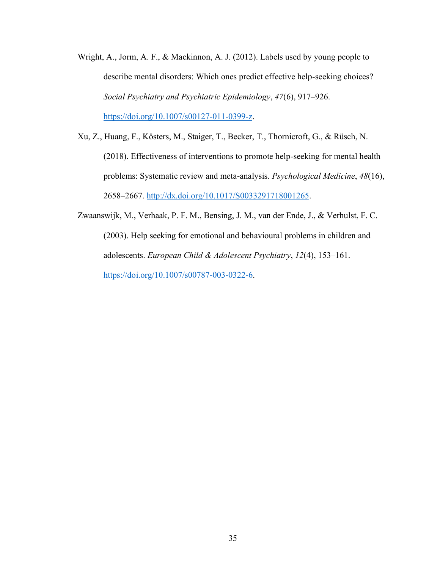- Wright, A., Jorm, A. F., & Mackinnon, A. J. (2012). Labels used by young people to describe mental disorders: Which ones predict effective help-seeking choices? *Social Psychiatry and Psychiatric Epidemiology*, *47*(6), 917–926. [https://doi.org/10.1007/s00127-011-0399-z.](https://doi.org/10.1007/s00127-011-0399-z)
- Xu, Z., Huang, F., Kösters, M., Staiger, T., Becker, T., Thornicroft, G., & Rüsch, N. (2018). Effectiveness of interventions to promote help-seeking for mental health problems: Systematic review and meta-analysis. *Psychological Medicine*, *48*(16), 2658–2667. [http://dx.doi.org/10.1017/S0033291718001265.](http://dx.doi.org/10.1017/S0033291718001265)
- Zwaanswijk, M., Verhaak, P. F. M., Bensing, J. M., van der Ende, J., & Verhulst, F. C. (2003). Help seeking for emotional and behavioural problems in children and adolescents. *European Child & Adolescent Psychiatry*, *12*(4), 153–161. [https://doi.org/10.1007/s00787-003-0322-6.](https://doi.org/10.1007/s00787-003-0322-6)